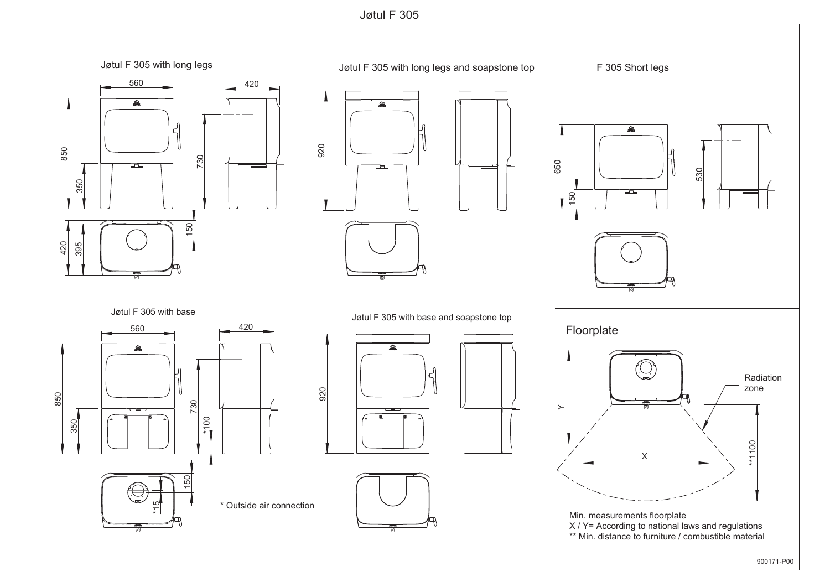Jøtul F 305

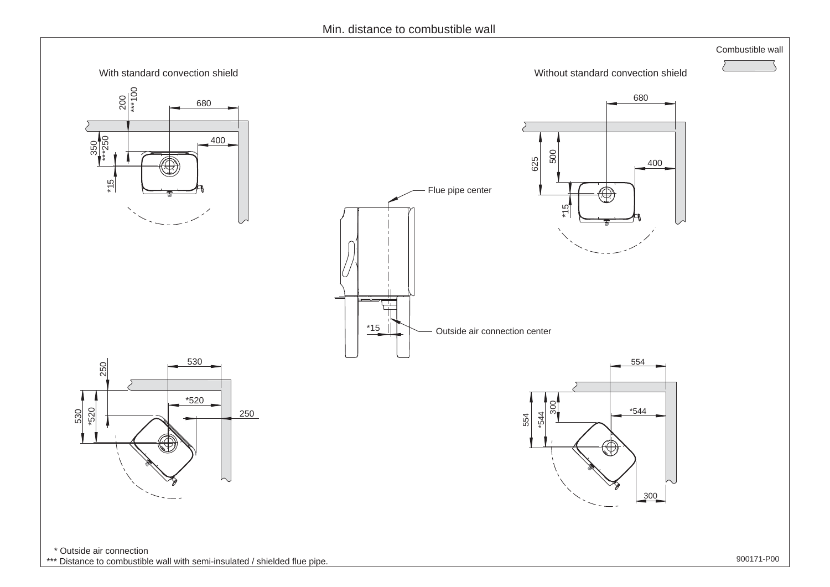